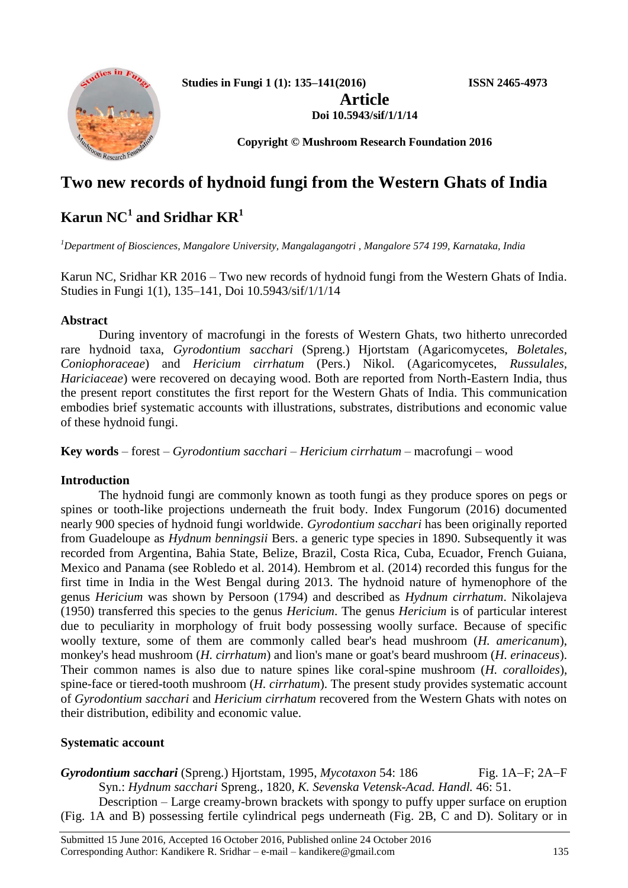

**Studies in Fungi 1 (1): 135–141(2016) ISSN 2465-4973**

**Article Doi 10.5943/sif/1/1/14**

**Copyright © Mushroom Research Foundation 2016**

# **Two new records of hydnoid fungi from the Western Ghats of India**

# $\bold{K}$ arun  $\bold{NC}^1$  and Sridhar  $\bold{KR}^1$

*<sup>1</sup>Department of Biosciences, Mangalore University, Mangalagangotri , Mangalore 574 199, Karnataka, India*

Karun NC, Sridhar KR 2016 – Two new records of hydnoid fungi from the Western Ghats of India. Studies in Fungi 1(1), 135–141, Doi 10.5943/sif/1/1/14

## **Abstract**

During inventory of macrofungi in the forests of Western Ghats, two hitherto unrecorded rare hydnoid taxa, *Gyrodontium sacchari* (Spreng.) Hjortstam (Agaricomycetes, *Boletales, Coniophoraceae*) and *Hericium cirrhatum* (Pers.) Nikol. (Agaricomycetes, *Russulales, Hariciaceae*) were recovered on decaying wood. Both are reported from North-Eastern India, thus the present report constitutes the first report for the Western Ghats of India. This communication embodies brief systematic accounts with illustrations, substrates, distributions and economic value of these hydnoid fungi.

**Key words** – forest – *Gyrodontium sacchari* – *Hericium cirrhatum* – macrofungi – wood

## **Introduction**

The hydnoid fungi are commonly known as tooth fungi as they produce spores on pegs or spines or tooth-like projections underneath the fruit body. Index Fungorum (2016) documented nearly 900 species of hydnoid fungi worldwide. *Gyrodontium sacchari* has been originally reported from Guadeloupe as *Hydnum benningsii* Bers. a generic type species in 1890. Subsequently it was recorded from Argentina, Bahia State, Belize, Brazil, Costa Rica, Cuba, Ecuador, French Guiana, Mexico and Panama (see Robledo et al. 2014). Hembrom et al. (2014) recorded this fungus for the first time in India in the West Bengal during 2013. The hydnoid nature of hymenophore of the genus *Hericium* was shown by Persoon (1794) and described as *Hydnum cirrhatum*. Nikolajeva (1950) transferred this species to the genus *Hericium*. The genus *Hericium* is of particular interest due to peculiarity in morphology of fruit body possessing woolly surface. Because of specific woolly texture, some of them are commonly called bear's head mushroom (*H. americanum*), monkey's head mushroom (*H. cirrhatum*) and lion's mane or goat's beard mushroom (*H. erinaceus*). Their common names is also due to nature spines like coral-spine mushroom (*H. coralloides*), spine-face or tiered-tooth mushroom (*H. cirrhatum*). The present study provides systematic account of *Gyrodontium sacchari* and *Hericium cirrhatum* recovered from the Western Ghats with notes on their distribution, edibility and economic value.

## **Systematic account**

*Gyrodontium sacchari* (Spreng.) Hjortstam, 1995, *Mycotaxon* 54: 186 Fig. 1A–F; 2A–F Syn.: *Hydnum sacchari* Spreng., 1820, *K. Sevenska Vetensk-Acad. Handl.* 46: 51. Description – Large creamy-brown brackets with spongy to puffy upper surface on eruption

(Fig. 1A and B) possessing fertile cylindrical pegs underneath (Fig. 2B, C and D). Solitary or in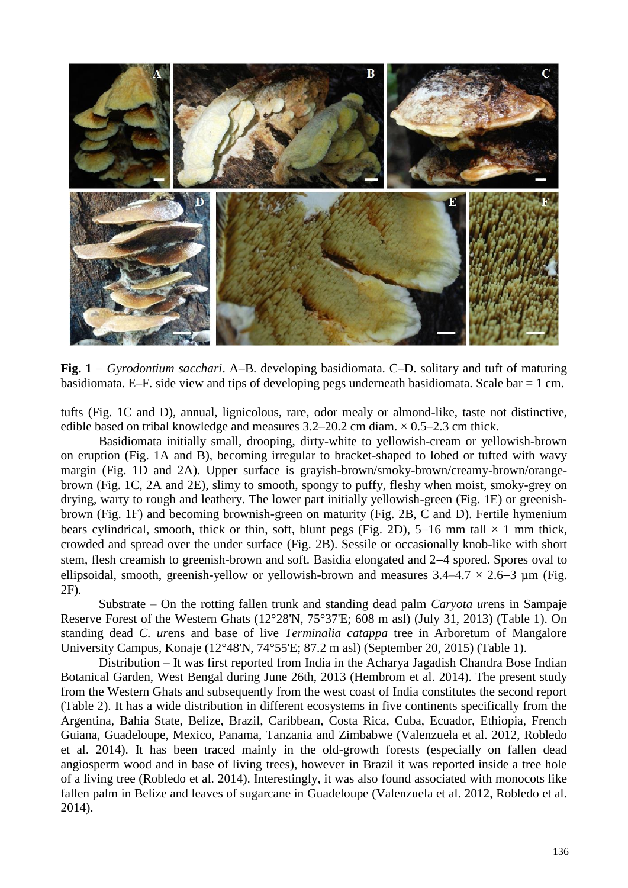

**Fig. 1** *Gyrodontium sacchari*. A–B. developing basidiomata. C–D. solitary and tuft of maturing basidiomata. E–F. side view and tips of developing pegs underneath basidiomata. Scale bar  $= 1$  cm.

tufts (Fig. 1C and D), annual, lignicolous, rare, odor mealy or almond-like, taste not distinctive, edible based on tribal knowledge and measures  $3.2-20.2$  cm diam.  $\times$  0.5-2.3 cm thick.

Basidiomata initially small, drooping, dirty-white to yellowish-cream or yellowish-brown on eruption (Fig. 1A and B), becoming irregular to bracket-shaped to lobed or tufted with wavy margin (Fig. 1D and 2A). Upper surface is grayish-brown/smoky-brown/creamy-brown/orangebrown (Fig. 1C, 2A and 2E), slimy to smooth, spongy to puffy, fleshy when moist, smoky-grey on drying, warty to rough and leathery. The lower part initially yellowish-green (Fig. 1E) or greenishbrown (Fig. 1F) and becoming brownish-green on maturity (Fig. 2B, C and D). Fertile hymenium bears cylindrical, smooth, thick or thin, soft, blunt pegs (Fig. 2D), 5-16 mm tall  $\times$  1 mm thick, crowded and spread over the under surface (Fig. 2B). Sessile or occasionally knob-like with short stem, flesh creamish to greenish-brown and soft. Basidia elongated and 2–4 spored. Spores oval to ellipsoidal, smooth, greenish-yellow or yellowish-brown and measures  $3.4-4.7 \times 2.6-3$  µm (Fig. 2F).

Substrate – On the rotting fallen trunk and standing dead palm *Caryota ur*ens in Sampaje Reserve Forest of the Western Ghats (12°28'N, 75°37'E; 608 m asl) (July 31, 2013) (Table 1). On standing dead *C. ur*ens and base of live *Terminalia catappa* tree in Arboretum of Mangalore University Campus, Konaje (12°48'N, 74°55'E; 87.2 m asl) (September 20, 2015) (Table 1).

Distribution – It was first reported from India in the Acharya Jagadish Chandra Bose Indian Botanical Garden, West Bengal during June 26th, 2013 (Hembrom et al. 2014). The present study from the Western Ghats and subsequently from the west coast of India constitutes the second report (Table 2). It has a wide distribution in different ecosystems in five continents specifically from the Argentina, Bahia State, Belize, Brazil, Caribbean, Costa Rica, Cuba, Ecuador, Ethiopia, French Guiana, Guadeloupe, Mexico, Panama, Tanzania and Zimbabwe (Valenzuela et al. 2012, Robledo et al. 2014). It has been traced mainly in the old-growth forests (especially on fallen dead angiosperm wood and in base of living trees), however in Brazil it was reported inside a tree hole of a living tree (Robledo et al. 2014). Interestingly, it was also found associated with monocots like fallen palm in Belize and leaves of sugarcane in Guadeloupe (Valenzuela et al. 2012, Robledo et al. 2014).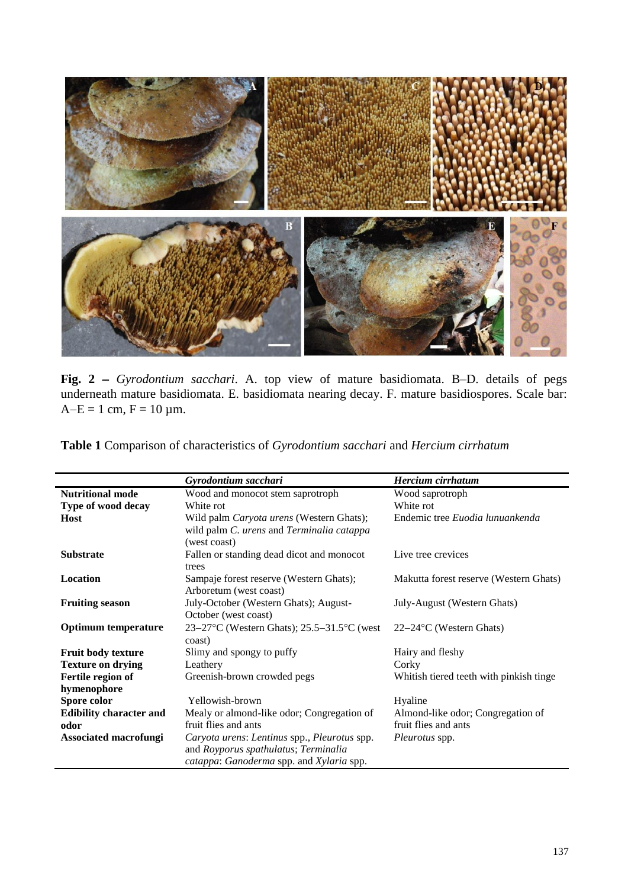

**Fig. 2**  *Gyrodontium sacchari*. A. top view of mature basidiomata. B–D. details of pegs underneath mature basidiomata. E. basidiomata nearing decay. F. mature basidiospores. Scale bar:  $A-E = 1$  cm,  $F = 10$  µm.

**Table 1** Comparison of characteristics of *Gyrodontium sacchari* and *Hercium cirrhatum*

|                                | Gyrodontium sacchari                                                                                                             | Hercium cirrhatum                       |  |
|--------------------------------|----------------------------------------------------------------------------------------------------------------------------------|-----------------------------------------|--|
| <b>Nutritional mode</b>        | Wood and monocot stem saprotroph                                                                                                 | Wood saprotroph                         |  |
| Type of wood decay             | White rot                                                                                                                        | White rot                               |  |
| Host                           | Wild palm Caryota urens (Western Ghats);<br>wild palm C. urens and Terminalia catappa<br>(west coast)                            | Endemic tree Euodia lunuankenda         |  |
| <b>Substrate</b>               | Fallen or standing dead dicot and monocot<br>trees                                                                               | Live tree crevices                      |  |
| Location                       | Sampaje forest reserve (Western Ghats);<br>Arboretum (west coast)                                                                | Makutta forest reserve (Western Ghats)  |  |
| <b>Fruiting season</b>         | July-October (Western Ghats); August-<br>October (west coast)                                                                    | July-August (Western Ghats)             |  |
| <b>Optimum</b> temperature     | 23–27 $\rm{^{\circ}C}$ (Western Ghats); 25.5–31.5 $\rm{^{\circ}C}$ (west<br>coast)                                               | $22-24$ °C (Western Ghats)              |  |
| Fruit body texture             | Slimy and spongy to puffy                                                                                                        | Hairy and fleshy                        |  |
| <b>Texture on drying</b>       | Leathery                                                                                                                         | Corky                                   |  |
| Fertile region of              | Greenish-brown crowded pegs                                                                                                      | Whitish tiered teeth with pinkish tinge |  |
| hymenophore                    |                                                                                                                                  |                                         |  |
| Spore color                    | Yellowish-brown                                                                                                                  | Hyaline                                 |  |
| <b>Edibility character and</b> | Mealy or almond-like odor; Congregation of                                                                                       | Almond-like odor; Congregation of       |  |
| odor                           | fruit flies and ants                                                                                                             | fruit flies and ants                    |  |
| <b>Associated macrofungi</b>   | Caryota urens: Lentinus spp., Pleurotus spp.<br>and Royporus spathulatus; Terminalia<br>catappa: Ganoderma spp. and Xylaria spp. | <i>Pleurotus</i> spp.                   |  |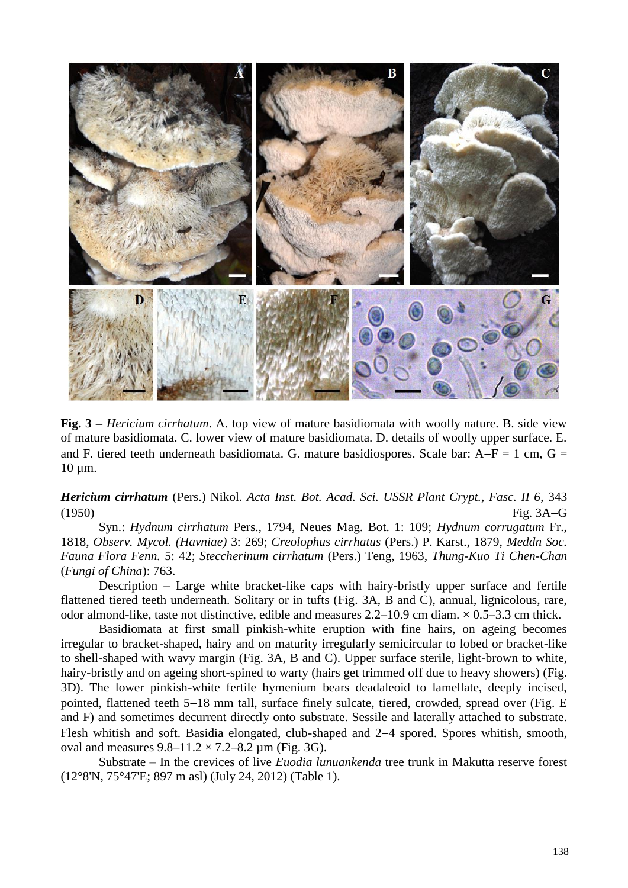

**Fig. 3** – *Hericium cirrhatum*. A. top view of mature basidiomata with woolly nature. B. side view of mature basidiomata. C. lower view of mature basidiomata. D. details of woolly upper surface. E. and F. tiered teeth underneath basidiomata. G. mature basidiospores. Scale bar:  $A-F = 1$  cm,  $G =$ 10 µm.

*Hericium cirrhatum* (Pers.) Nikol. *Acta Inst. Bot. Acad. Sci. USSR Plant Crypt., Fasc. II 6*, 343  $(1950)$  Fig. 3A–G

Syn.: *Hydnum cirrhatum* Pers., 1794, Neues Mag. Bot. 1: 109; *Hydnum corrugatum* Fr., 1818, *Observ. Mycol. (Havniae)* 3: 269; *Creolophus cirrhatus* (Pers.) P. Karst., 1879, *Meddn Soc. Fauna Flora Fenn.* 5: 42; *Steccherinum cirrhatum* (Pers.) Teng, 1963, *Thung-Kuo Ti Chen-Chan* (*Fungi of China*): 763.

Description – Large white bracket-like caps with hairy-bristly upper surface and fertile flattened tiered teeth underneath. Solitary or in tufts (Fig. 3A, B and C), annual, lignicolous, rare, odor almond-like, taste not distinctive, edible and measures  $2.2-10.9$  cm diam.  $\times$  0.5–3.3 cm thick.

Basidiomata at first small pinkish-white eruption with fine hairs, on ageing becomes irregular to bracket-shaped, hairy and on maturity irregularly semicircular to lobed or bracket-like to shell-shaped with wavy margin (Fig. 3A, B and C). Upper surface sterile, light-brown to white, hairy-bristly and on ageing short-spined to warty (hairs get trimmed off due to heavy showers) (Fig. 3D). The lower pinkish-white fertile hymenium bears deadaleoid to lamellate, deeply incised, pointed, flattened teeth 5–18 mm tall, surface finely sulcate, tiered, crowded, spread over (Fig. E and F) and sometimes decurrent directly onto substrate. Sessile and laterally attached to substrate. Flesh whitish and soft. Basidia elongated, club-shaped and 2–4 spored. Spores whitish, smooth, oval and measures  $9.8-11.2 \times 7.2-8.2 \mu m$  (Fig. 3G).

Substrate – In the crevices of live *Euodia lunuankenda* tree trunk in Makutta reserve forest (12°8'N, 75°47'E; 897 m asl) (July 24, 2012) (Table 1).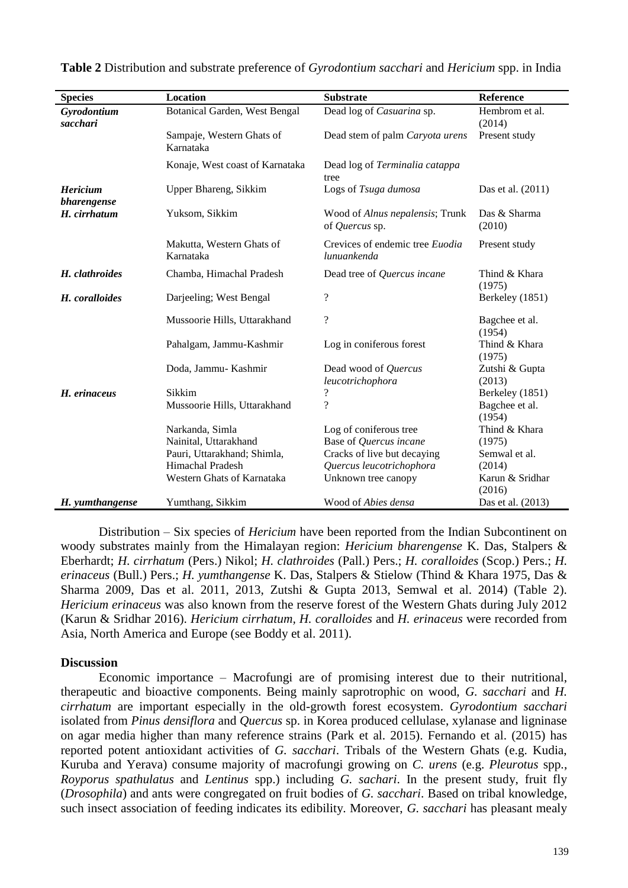| <b>Species</b>                 | Location                               | <b>Substrate</b>                                  | Reference                 |
|--------------------------------|----------------------------------------|---------------------------------------------------|---------------------------|
| Gyrodontium<br>sacchari        | <b>Botanical Garden, West Bengal</b>   | Dead log of Casuarina sp.                         | Hembrom et al.<br>(2014)  |
|                                | Sampaje, Western Ghats of<br>Karnataka | Dead stem of palm Caryota urens                   | Present study             |
|                                | Konaje, West coast of Karnataka        | Dead log of Terminalia catappa<br>tree            |                           |
| <b>Hericium</b><br>bharengense | Upper Bhareng, Sikkim                  | Logs of Tsuga dumosa                              | Das et al. (2011)         |
| H. cirrhatum                   | Yuksom, Sikkim                         | Wood of Alnus nepalensis; Trunk<br>of Quercus sp. | Das & Sharma<br>(2010)    |
|                                | Makutta, Western Ghats of<br>Karnataka | Crevices of endemic tree Euodia<br>lunuankenda    | Present study             |
| H. clathroides                 | Chamba, Himachal Pradesh               | Dead tree of Quercus incane                       | Thind & Khara<br>(1975)   |
| H. coralloides                 | Darjeeling; West Bengal                | $\overline{\mathcal{L}}$                          | Berkeley (1851)           |
|                                | Mussoorie Hills, Uttarakhand           | $\overline{\mathcal{L}}$                          | Bagchee et al.<br>(1954)  |
|                                | Pahalgam, Jammu-Kashmir                | Log in coniferous forest                          | Thind & Khara<br>(1975)   |
|                                | Doda, Jammu- Kashmir                   | Dead wood of Quercus<br>leucotrichophora          | Zutshi & Gupta<br>(2013)  |
| H. erinaceus                   | Sikkim                                 | $\overline{\mathcal{L}}$                          | Berkeley (1851)           |
|                                | Mussoorie Hills, Uttarakhand           | $\overline{\mathcal{L}}$                          | Bagchee et al.<br>(1954)  |
|                                | Narkanda, Simla                        | Log of coniferous tree                            | Thind & Khara             |
|                                | Nainital, Uttarakhand                  | Base of Quercus incane                            | (1975)                    |
|                                | Pauri, Uttarakhand; Shimla,            | Cracks of live but decaying                       | Semwal et al.             |
|                                | Himachal Pradesh                       | Quercus leucotrichophora                          | (2014)                    |
|                                | Western Ghats of Karnataka             | Unknown tree canopy                               | Karun & Sridhar<br>(2016) |
| H. yumthangense                | Yumthang, Sikkim                       | Wood of Abies densa                               | Das et al. (2013)         |

**Table 2** Distribution and substrate preference of *Gyrodontium sacchari* and *Hericium* spp. in India

Distribution – Six species of *Hericium* have been reported from the Indian Subcontinent on woody substrates mainly from the Himalayan region: *Hericium bharengense* K. Das, Stalpers & Eberhardt; *H. cirrhatum* (Pers.) Nikol; *H. clathroides* (Pall.) Pers.; *H. coralloides* (Scop.) Pers.; *H. erinaceus* (Bull.) Pers.; *H. yumthangense* K. Das, Stalpers & Stielow (Thind & Khara 1975, Das & Sharma 2009, Das et al. 2011, 2013, Zutshi & Gupta 2013, Semwal et al. 2014) (Table 2). *Hericium erinaceus* was also known from the reserve forest of the Western Ghats during July 2012 (Karun & Sridhar 2016). *Hericium cirrhatum, H. coralloides* and *H. erinaceus* were recorded from Asia, North America and Europe (see Boddy et al. 2011).

#### **Discussion**

Economic importance *–* Macrofungi are of promising interest due to their nutritional, therapeutic and bioactive components. Being mainly saprotrophic on wood, *G. sacchari* and *H. cirrhatum* are important especially in the old-growth forest ecosystem. *Gyrodontium sacchari* isolated from *Pinus densiflora* and *Quercus* sp. in Korea produced cellulase, xylanase and ligninase on agar media higher than many reference strains (Park et al. 2015). Fernando et al. (2015) has reported potent antioxidant activities of *G. sacchari*. Tribals of the Western Ghats (e.g. Kudia, Kuruba and Yerava) consume majority of macrofungi growing on *C. urens* (e.g. *Pleurotus* spp., *Royporus spathulatus* and *Lentinus* spp.) including *G. sachari*. In the present study, fruit fly (*Drosophila*) and ants were congregated on fruit bodies of *G. sacchari*. Based on tribal knowledge, such insect association of feeding indicates its edibility. Moreover, *G. sacchari* has pleasant mealy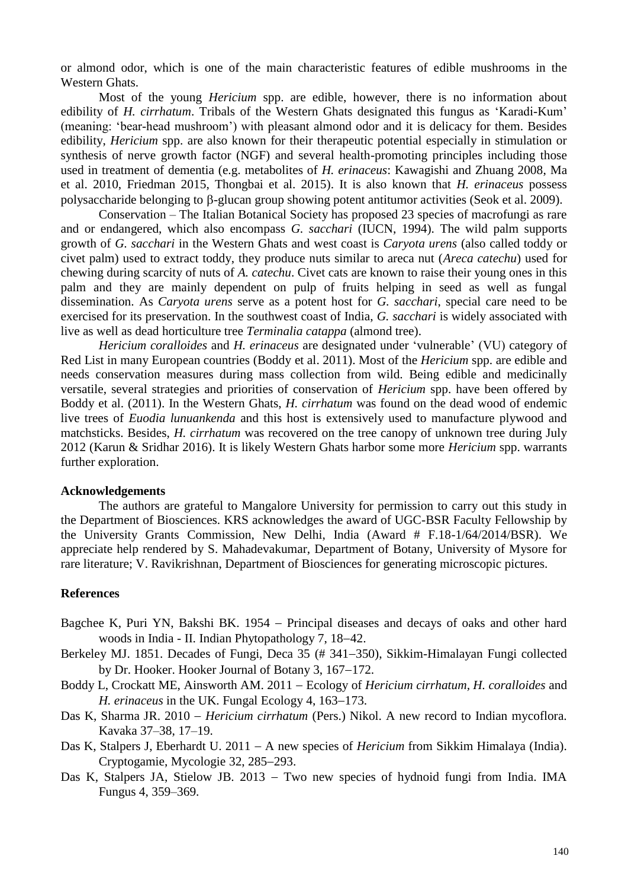or almond odor, which is one of the main characteristic features of edible mushrooms in the Western Ghats.

Most of the young *Hericium* spp. are edible, however, there is no information about edibility of *H. cirrhatum*. Tribals of the Western Ghats designated this fungus as 'Karadi-Kum' (meaning: 'bear-head mushroom') with pleasant almond odor and it is delicacy for them. Besides edibility, *Hericium* spp. are also known for their therapeutic potential especially in stimulation or synthesis of nerve growth factor (NGF) and several health-promoting principles including those used in treatment of dementia (e.g. metabolites of *H. erinaceus*: Kawagishi and Zhuang 2008, Ma et al. 2010, Friedman 2015, Thongbai et al. 2015). It is also known that *H. erinaceus* possess polysaccharide belonging to  $\beta$ -glucan group showing potent antitumor activities (Seok et al. 2009).

Conservation *–* The Italian Botanical Society has proposed 23 species of macrofungi as rare and or endangered, which also encompass *G. sacchari* (IUCN, 1994). The wild palm supports growth of *G. sacchari* in the Western Ghats and west coast is *Caryota urens* (also called toddy or civet palm) used to extract toddy, they produce nuts similar to areca nut (*Areca catechu*) used for chewing during scarcity of nuts of *A. catechu*. Civet cats are known to raise their young ones in this palm and they are mainly dependent on pulp of fruits helping in seed as well as fungal dissemination. As *Caryota urens* serve as a potent host for *G. sacchari*, special care need to be exercised for its preservation. In the southwest coast of India, *G. sacchari* is widely associated with live as well as dead horticulture tree *Terminalia catappa* (almond tree).

*Hericium coralloides* and *H. erinaceus* are designated under 'vulnerable' (VU) category of Red List in many European countries (Boddy et al. 2011). Most of the *Hericium* spp. are edible and needs conservation measures during mass collection from wild. Being edible and medicinally versatile, several strategies and priorities of conservation of *Hericium* spp. have been offered by Boddy et al. (2011). In the Western Ghats, *H. cirrhatum* was found on the dead wood of endemic live trees of *Euodia lunuankenda* and this host is extensively used to manufacture plywood and matchsticks. Besides, *H. cirrhatum* was recovered on the tree canopy of unknown tree during July 2012 (Karun & Sridhar 2016). It is likely Western Ghats harbor some more *Hericium* spp. warrants further exploration.

### **Acknowledgements**

The authors are grateful to Mangalore University for permission to carry out this study in the Department of Biosciences. KRS acknowledges the award of UGC-BSR Faculty Fellowship by the University Grants Commission, New Delhi, India (Award # F.18-1/64/2014/BSR). We appreciate help rendered by S. Mahadevakumar, Department of Botany, University of Mysore for rare literature; V. Ravikrishnan, Department of Biosciences for generating microscopic pictures.

### **References**

- Bagchee K, Puri YN, Bakshi BK. 1954 Principal diseases and decays of oaks and other hard woods in India - II. Indian Phytopathology 7, 18–42.
- Berkeley MJ. 1851. Decades of Fungi, Deca 35 (# 341–350), Sikkim-Himalayan Fungi collected by Dr. Hooker. Hooker Journal of Botany 3, 167–172.
- Boddy L, Crockatt ME, Ainsworth AM. 2011 Ecology of *Hericium cirrhatum, H. coralloides* and *H. erinaceus* in the UK. Fungal Ecology 4, 163–173.
- Das K. Sharma JR. 2010 *Hericium cirrhatum* (Pers.) Nikol. A new record to Indian mycoflora. Kavaka 37–38, 17–19.
- Das K, Stalpers J, Eberhardt U. 2011 A new species of *Hericium* from Sikkim Himalaya (India). Cryptogamie, Mycologie 32, 285-293.
- Das K, Stalpers JA, Stielow JB. 2013 Two new species of hydnoid fungi from India. IMA Fungus 4, 359–369.